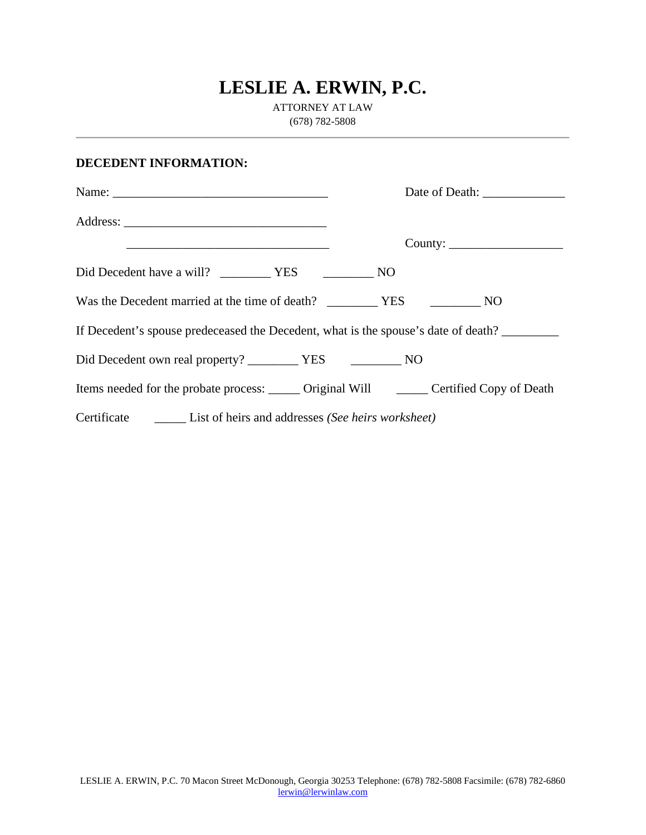## **LESLIE A. ERWIN, P.C.**

ATTORNEY AT LAW (678) 782-5808

## **DECEDENT INFORMATION:**

| <u> 1989 - Johann Stoff, amerikansk politiker (d. 1989)</u>                                  |  |  |
|----------------------------------------------------------------------------------------------|--|--|
|                                                                                              |  |  |
|                                                                                              |  |  |
| Was the Decedent married at the time of death? VES NO                                        |  |  |
| If Decedent's spouse predeceased the Decedent, what is the spouse's date of death?           |  |  |
|                                                                                              |  |  |
| Items needed for the probate process: _______ Original Will ________ Certified Copy of Death |  |  |
|                                                                                              |  |  |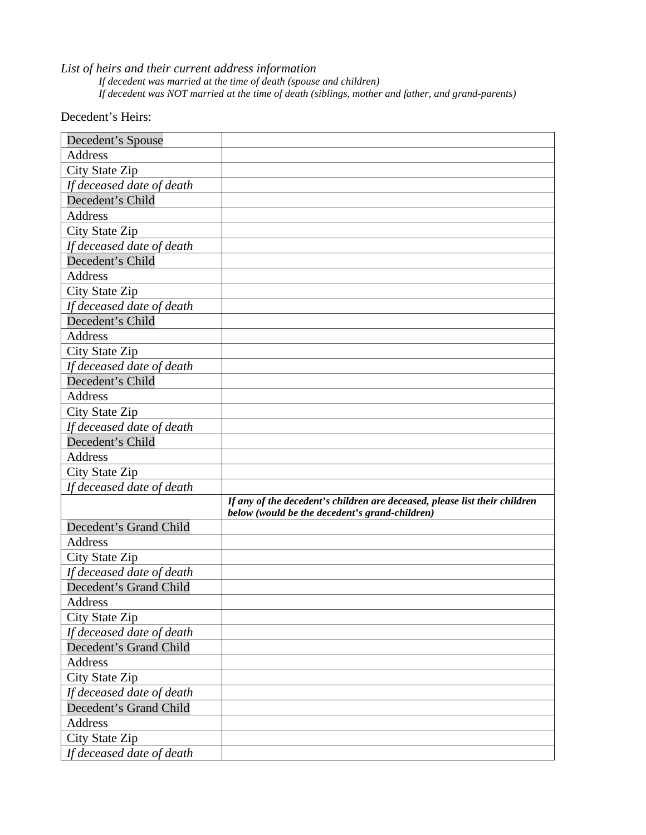*List of heirs and their current address information* 

*If decedent was married at the time of death (spouse and children) If decedent was NOT married at the time of death (siblings, mother and father, and grand-parents)*

Decedent's Heirs:

| Decedent's Spouse         |                                                                                                                              |
|---------------------------|------------------------------------------------------------------------------------------------------------------------------|
| Address                   |                                                                                                                              |
| City State Zip            |                                                                                                                              |
| If deceased date of death |                                                                                                                              |
| Decedent's Child          |                                                                                                                              |
| <b>Address</b>            |                                                                                                                              |
| City State Zip            |                                                                                                                              |
| If deceased date of death |                                                                                                                              |
| Decedent's Child          |                                                                                                                              |
| Address                   |                                                                                                                              |
| <b>City State Zip</b>     |                                                                                                                              |
| If deceased date of death |                                                                                                                              |
| Decedent's Child          |                                                                                                                              |
| Address                   |                                                                                                                              |
| City State Zip            |                                                                                                                              |
| If deceased date of death |                                                                                                                              |
| Decedent's Child          |                                                                                                                              |
| Address                   |                                                                                                                              |
| City State Zip            |                                                                                                                              |
| If deceased date of death |                                                                                                                              |
| Decedent's Child          |                                                                                                                              |
| Address                   |                                                                                                                              |
| City State Zip            |                                                                                                                              |
| If deceased date of death |                                                                                                                              |
|                           | If any of the decedent's children are deceased, please list their children<br>below (would be the decedent's grand-children) |
| Decedent's Grand Child    |                                                                                                                              |
| Address                   |                                                                                                                              |
| City State Zip            |                                                                                                                              |
| If deceased date of death |                                                                                                                              |
| Decedent's Grand Child    |                                                                                                                              |
| <b>Address</b>            |                                                                                                                              |
| City State Zip            |                                                                                                                              |
| If deceased date of death |                                                                                                                              |
|                           |                                                                                                                              |
| Decedent's Grand Child    |                                                                                                                              |
| Address                   |                                                                                                                              |
| City State Zip            |                                                                                                                              |
| If deceased date of death |                                                                                                                              |
| Decedent's Grand Child    |                                                                                                                              |
| Address                   |                                                                                                                              |
| City State Zip            |                                                                                                                              |